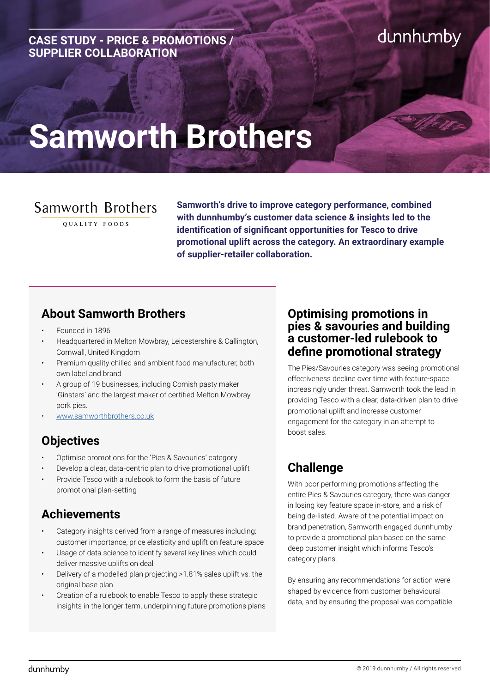#### **CASE STUDY - PRICE & PROMOTIONS / SUPPLIER COLLABORATION**

# dunnhumby

# **Samworth Brothers**

# Samworth Brothers

OUALITY FOODS

**Samworth's drive to improve category performance, combined with dunnhumby's customer data science & insights led to the identification of significant opportunities for Tesco to drive promotional uplift across the category. An extraordinary example of supplier-retailer collaboration.**

## **About Samworth Brothers**

- Founded in 1896
- Headquartered in Melton Mowbray, Leicestershire & Callington, Cornwall, United Kingdom
- Premium quality chilled and ambient food manufacturer, both own label and brand
- A group of 19 businesses, including Cornish pasty maker 'Ginsters' and the largest maker of certified Melton Mowbray pork pies.
- [www.samworthbrothers.co.uk](http://www.samworthbrothers.co.uk)

# **Objectives**

- Optimise promotions for the 'Pies & Savouries' category
- Develop a clear, data-centric plan to drive promotional uplift
- Provide Tesco with a rulebook to form the basis of future promotional plan-setting

# **Achievements**

- Category insights derived from a range of measures including: customer importance, price elasticity and uplift on feature space
- Usage of data science to identify several key lines which could deliver massive uplifts on deal
- Delivery of a modelled plan projecting >1.81% sales uplift vs. the original base plan
- Creation of a rulebook to enable Tesco to apply these strategic insights in the longer term, underpinning future promotions plans

#### **Optimising promotions in pies & savouries and building a customer-led rulebook to define promotional strategy**

The Pies/Savouries category was seeing promotional effectiveness decline over time with feature-space increasingly under threat. Samworth took the lead in providing Tesco with a clear, data-driven plan to drive promotional uplift and increase customer engagement for the category in an attempt to boost sales.

# **Challenge**

With poor performing promotions affecting the entire Pies & Savouries category, there was danger in losing key feature space in-store, and a risk of being de-listed. Aware of the potential impact on brand penetration, Samworth engaged dunnhumby to provide a promotional plan based on the same deep customer insight which informs Tesco's category plans.

By ensuring any recommendations for action were shaped by evidence from customer behavioural data, and by ensuring the proposal was compatible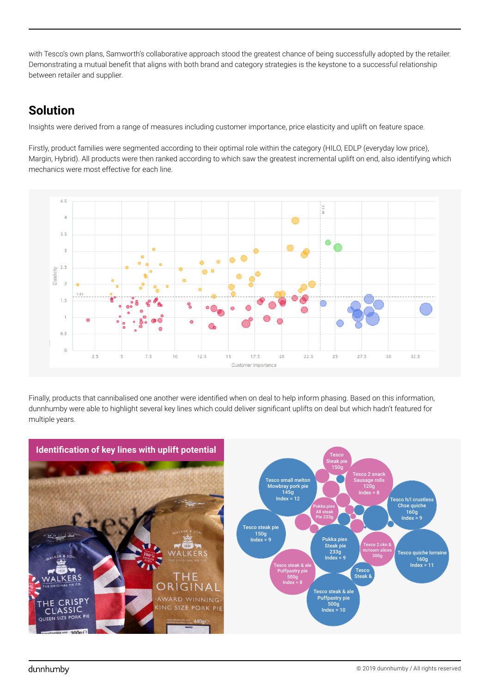with Tesco's own plans, Samworth's collaborative approach stood the greatest chance of being successfully adopted by the retailer. Demonstrating a mutual benefit that aligns with both brand and category strategies is the keystone to a successful relationship between retailer and supplier.

### **Solution**

Insights were derived from a range of measures including customer importance, price elasticity and uplift on feature space.

Firstly, product families were segmented according to their optimal role within the category (HILO, EDLP (everyday low price), Margin, Hybrid). All products were then ranked according to which saw the greatest incremental uplift on end, also identifying which mechanics were most effective for each line.



Finally, products that cannibalised one another were identified when on deal to help inform phasing. Based on this information, dunnhumby were able to highlight several key lines which could deliver significant uplifts on deal but which hadn't featured for multiple years.